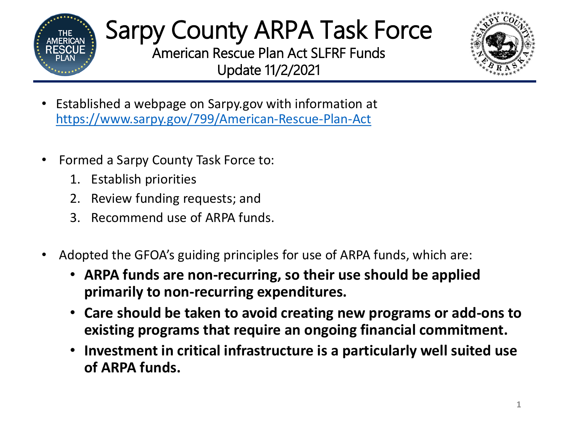

## Sarpy County ARPA Task Force American Rescue Plan Act SLFRF Funds

Update 11/2/2021



- Established a webpage on Sarpy.gov with information at <https://www.sarpy.gov/799/American-Rescue-Plan-Act>
- Formed a Sarpy County Task Force to:
	- 1. Establish priorities
	- 2. Review funding requests; and
	- 3. Recommend use of ARPA funds.
- Adopted the GFOA's guiding principles for use of ARPA funds, which are:
	- **ARPA funds are non-recurring, so their use should be applied primarily to non-recurring expenditures.**
	- **Care should be taken to avoid creating new programs or add-ons to existing programs that require an ongoing financial commitment.**
	- **Investment in critical infrastructure is a particularly well suited use of ARPA funds.**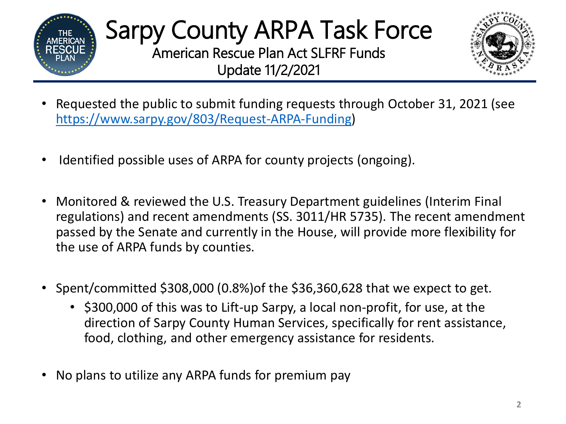

## Sarpy County ARPA Task Force American Rescue Plan Act SLFRF Funds Update 11/2/2021



- Requested the public to submit funding requests through October 31, 2021 (see <https://www.sarpy.gov/803/Request-ARPA-Funding>)
- Identified possible uses of ARPA for county projects (ongoing).
- Monitored & reviewed the U.S. Treasury Department guidelines (Interim Final regulations) and recent amendments (SS. 3011/HR 5735). The recent amendment passed by the Senate and currently in the House, will provide more flexibility for the use of ARPA funds by counties.
- Spent/committed \$308,000 (0.8%)of the \$36,360,628 that we expect to get.
	- \$300,000 of this was to Lift-up Sarpy, a local non-profit, for use, at the direction of Sarpy County Human Services, specifically for rent assistance, food, clothing, and other emergency assistance for residents.
- No plans to utilize any ARPA funds for premium pay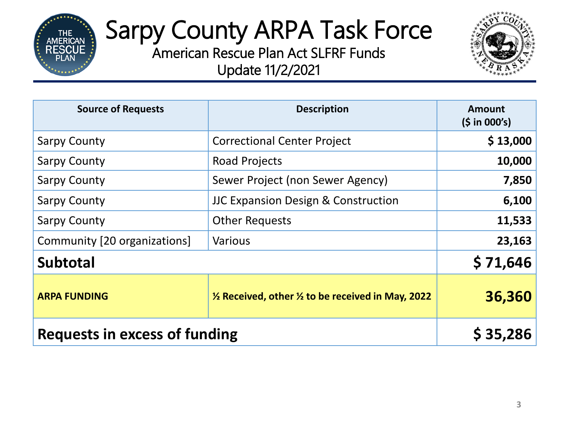

## Sarpy County ARPA Task Force

American Rescue Plan Act SLFRF Funds Update 11/2/2021



| <b>Source of Requests</b>     | <b>Description</b>                                                      | <b>Amount</b><br>(5 in 000's) |
|-------------------------------|-------------------------------------------------------------------------|-------------------------------|
| <b>Sarpy County</b>           | <b>Correctional Center Project</b>                                      | \$13,000                      |
| <b>Sarpy County</b>           | <b>Road Projects</b>                                                    | 10,000                        |
| <b>Sarpy County</b>           | Sewer Project (non Sewer Agency)                                        | 7,850                         |
| <b>Sarpy County</b>           | <b>JJC Expansion Design &amp; Construction</b>                          | 6,100                         |
| <b>Sarpy County</b>           | <b>Other Requests</b>                                                   | 11,533                        |
| Community [20 organizations]  | <b>Various</b>                                                          | 23,163                        |
| <b>Subtotal</b>               |                                                                         | \$71,646                      |
| <b>ARPA FUNDING</b>           | $\frac{1}{2}$ Received, other $\frac{1}{2}$ to be received in May, 2022 | 36,360                        |
| Requests in excess of funding |                                                                         | \$35,286                      |